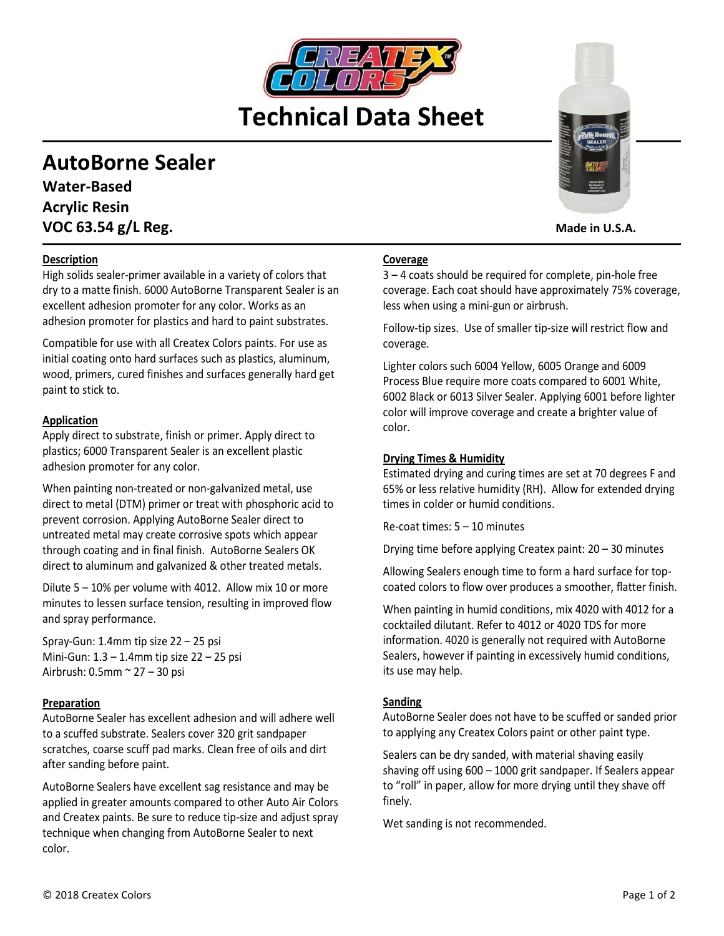# **Technical Data Sheet**

# **AutoBorne Sealer**

**Water-Based Acrylic Resin VOC 63.54 g/L Reg. Made in U.S.A. Made in U.S.A.** 

# **Description**

High solids sealer-primer available in a variety of colors that dry to a matte finish. 6000 AutoBorne Transparent Sealer is an excellent adhesion promoter for any color. Works as an adhesion promoter for plastics and hard to paint substrates.

Compatible for use with all Createx Colors paints. For use as initial coating onto hard surfaces such as plastics, aluminum, wood, primers, cured finishes and surfaces generally hard get paint to stick to.

#### **Application**

Apply direct to substrate, finish or primer. Apply direct to plastics; 6000 Transparent Sealer is an excellent plastic adhesion promoter for any color.

When painting non-treated or non-galvanized metal, use direct to metal (DTM) primer or treat with phosphoric acid to prevent corrosion. Applying AutoBorne Sealer direct to untreated metal may create corrosive spots which appear through coating and in final finish. AutoBorne Sealers OK direct to aluminum and galvanized & other treated metals.

Dilute 5 – 10% per volume with 4012. Allow mix 10 or more minutes to lessen surface tension, resulting in improved flow and spray performance.

Spray-Gun: 1.4mm tip size 22 – 25 psi Mini-Gun: 1.3 – 1.4mm tip size 22 – 25 psi Airbrush: 0.5mm ~ 27 – 30 psi

#### **Preparation**

AutoBorne Sealer has excellent adhesion and will adhere well to a scuffed substrate. Sealers cover 320 grit sandpaper scratches, coarse scuff pad marks. Clean free of oils and dirt after sanding before paint.

AutoBorne Sealers have excellent sag resistance and may be applied in greater amounts compared to other Auto Air Colors and Createx paints. Be sure to reduce tip-size and adjust spray technique when changing from AutoBorne Sealer to next color.



# **Coverage**

3 – 4 coats should be required for complete, pin-hole free coverage. Each coat should have approximately 75% coverage, less when using a mini-gun or airbrush.

Follow-tip sizes. Use of smaller tip-size will restrict flow and coverage.

Lighter colors such 6004 Yellow, 6005 Orange and 6009 Process Blue require more coats compared to 6001 White, 6002 Black or 6013 Silver Sealer. Applying 6001 before lighter color will improve coverage and create a brighter value of color.

#### **Drying Times & Humidity**

Estimated drying and curing times are set at 70 degrees F and 65% or less relative humidity (RH). Allow for extended drying times in colder or humid conditions.

Re-coat times: 5 – 10 minutes

Drying time before applying Createx paint: 20 – 30 minutes

Allowing Sealers enough time to form a hard surface for topcoated colors to flow over produces a smoother, flatter finish.

When painting in humid conditions, mix 4020 with 4012 for a cocktailed dilutant. Refer to 4012 or 4020 TDS for more information. 4020 is generally not required with AutoBorne Sealers, however if painting in excessively humid conditions, its use may help.

#### **Sanding**

AutoBorne Sealer does not have to be scuffed or sanded prior to applying any Createx Colors paint or other paint type.

Sealers can be dry sanded, with material shaving easily shaving off using 600 – 1000 grit sandpaper. If Sealers appear to "roll" in paper, allow for more drying until they shave off finely.

Wet sanding is not recommended.